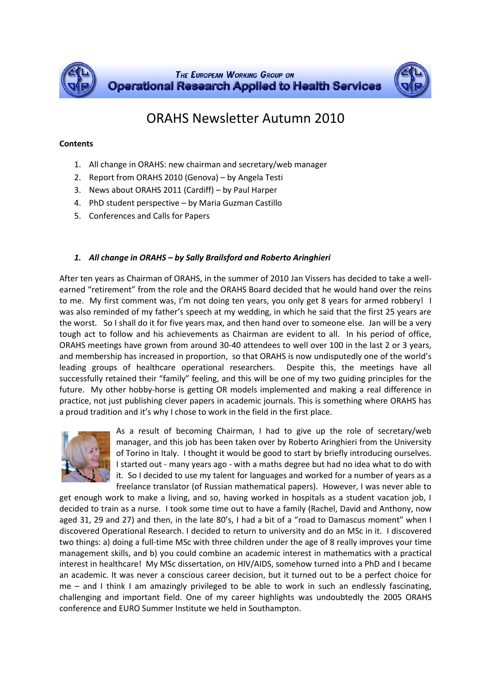

# ORAHS Newsletter Autumn 2010

## **Contents**

- 1. All change in ORAHS: new chairman and secretary/web manager
- 2. Report from ORAHS 2010 (Genova) by Angela Testi
- 3. News about ORAHS 2011 (Cardiff) by Paul Harper
- 4. PhD student perspective by Maria Guzman Castillo
- 5. Conferences and Calls for Papers

## *1. All change in ORAHS – by Sally Brailsford and Roberto Aringhieri*

After ten years as Chairman of ORAHS, in the summer of 2010 Jan Vissers has decided to take a wellearned "retirement" from the role and the ORAHS Board decided that he would hand over the reins to me. My first comment was, I'm not doing ten years, you only get 8 years for armed robbery! I was also reminded of my father's speech at my wedding, in which he said that the first 25 years are the worst. So I shall do it for five years max, and then hand over to someone else. Jan will be a very tough act to follow and his achievements as Chairman are evident to all. In his period of office, ORAHS meetings have grown from around 30-40 attendees to well over 100 in the last 2 or 3 years, and membership has increased in proportion, so that ORAHS is now undisputedly one of the world's leading groups of healthcare operational researchers. Despite this, the meetings have all successfully retained their "family" feeling, and this will be one of my two guiding principles for the future. My other hobby-horse is getting OR models implemented and making a real difference in practice, not just publishing clever papers in academic journals. This is something where ORAHS has a proud tradition and it's why I chose to work in the field in the first place.



As a result of becoming Chairman, I had to give up the role of secretary/web manager, and this job has been taken over by Roberto Aringhieri from the University of Torino in Italy. I thought it would be good to start by briefly introducing ourselves. I started out - many years ago - with a maths degree but had no idea what to do with it. So I decided to use my talent for languages and worked for a number of years as a freelance translator (of Russian mathematical papers). However, I was never able to

get enough work to make a living, and so, having worked in hospitals as a student vacation job, I decided to train as a nurse. I took some time out to have a family (Rachel, David and Anthony, now aged 31, 29 and 27) and then, in the late 80's, I had a bit of a "road to Damascus moment" when I discovered Operational Research. I decided to return to university and do an MSc in it. I discovered two things: a) doing a full-time MSc with three children under the age of 8 really improves your time management skills, and b) you could combine an academic interest in mathematics with a practical interest in healthcare! My MSc dissertation, on HIV/AIDS, somehow turned into a PhD and I became an academic. It was never a conscious career decision, but it turned out to be a perfect choice for me – and I think I am amazingly privileged to be able to work in such an endlessly fascinating, challenging and important field. One of my career highlights was undoubtedly the 2005 ORAHS conference and EURO Summer Institute we held in Southampton.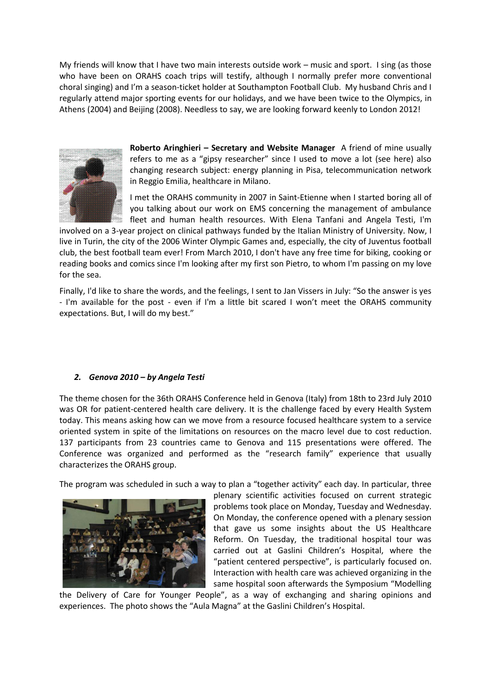My friends will know that I have two main interests outside work – music and sport. I sing (as those who have been on ORAHS coach trips will testify, although I normally prefer more conventional choral singing) and I'm a season-ticket holder at Southampton Football Club. My husband Chris and I regularly attend major sporting events for our holidays, and we have been twice to the Olympics, in Athens (2004) and Beijing (2008). Needless to say, we are looking forward keenly to London 2012!



**Roberto Aringhieri - Secretary and Website Manager** A friend of mine usually refers to me as a "gipsy researcher" since I used to move a lot (see here) also changing research subject: energy planning in Pisa, telecommunication network in Reggio Emilia, healthcare in Milano.

I met the ORAHS community in 2007 in Saint-Etienne when I started boring all of you talking about our work on EMS concerning the management of ambulance fleet and human health resources. With Elena Tanfani and Angela Testi, I'm

involved on a 3-year project on clinical pathways funded by the Italian Ministry of University. Now, I live in Turin, the city of the 2006 Winter Olympic Games and, especially, the city of Juventus football club, the best football team ever! From March 2010, I don't have any free time for biking, cooking or reading books and comics since I'm looking after my first son Pietro, to whom I'm passing on my love for the sea.

Finally, I'd like to share the words, and the feelings, I sent to Jan Vissers in July: "So the answer is yes - I'm available for the post - even if I'm a little bit scared I won't meet the ORAHS community expectations. But, I will do my best."

## *2. Genova 2010 – by Angela Testi*

The theme chosen for the 36th ORAHS Conference held in Genova (Italy) from 18th to 23rd July 2010 was OR for patient-centered health care delivery. It is the challenge faced by every Health System today. This means asking how can we move from a resource focused healthcare system to a service oriented system in spite of the limitations on resources on the macro level due to cost reduction. 137 participants from 23 countries came to Genova and 115 presentations were offered. The Conference was organized and performed as the "research family" experience that usually characterizes the ORAHS group.

The program was scheduled in such a way to plan a "together activity" each day. In particular, three



plenary scientific activities focused on current strategic problems took place on Monday, Tuesday and Wednesday. On Monday, the conference opened with a plenary session that gave us some insights about the US Healthcare Reform. On Tuesday, the traditional hospital tour was carried out at Gaslini Children's Hospital, where the "patient centered perspective", is particularly focused on. Interaction with health care was achieved organizing in the same hospital soon afterwards the Symposium "Modelling

the Delivery of Care for Younger People", as a way of exchanging and sharing opinions and experiences. The photo shows the "Aula Magna" at the Gaslini Children's Hospital.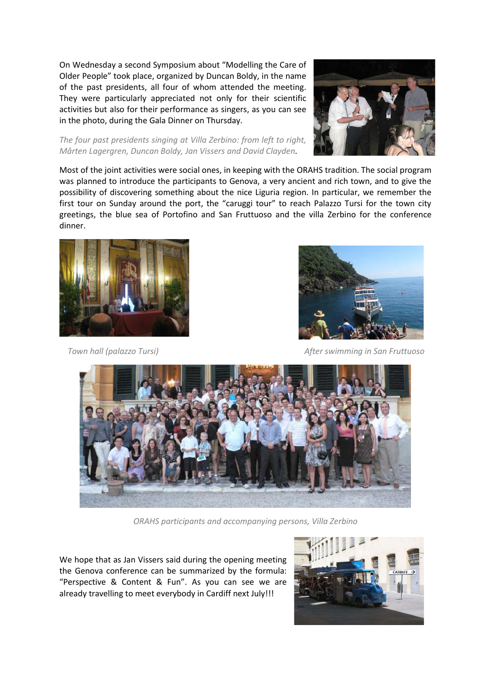On Wednesday a second Symposium about "Modelling the Care of Older People" took place, organized by Duncan Boldy, in the name of the past presidents, all four of whom attended the meeting. They were particularly appreciated not only for their scientific activities but also for their performance as singers, as you can see in the photo, during the Gala Dinner on Thursday.





Most of the joint activities were social ones, in keeping with the ORAHS tradition. The social program was planned to introduce the participants to Genova, a very ancient and rich town, and to give the possibility of discovering something about the nice Liguria region. In particular, we remember the first tour on Sunday around the port, the "caruggi tour" to reach Palazzo Tursi for the town city greetings, the blue sea of Portofino and San Fruttuoso and the villa Zerbino for the conference dinner.





 *Town hall (palazzo Tursi) After swimming in San Fruttuoso*



*ORAHS participants and accompanying persons, Villa Zerbino*

We hope that as Jan Vissers said during the opening meeting the Genova conference can be summarized by the formula: "Perspective & Content & Fun". As you can see we are already travelling to meet everybody in Cardiff next July!!!

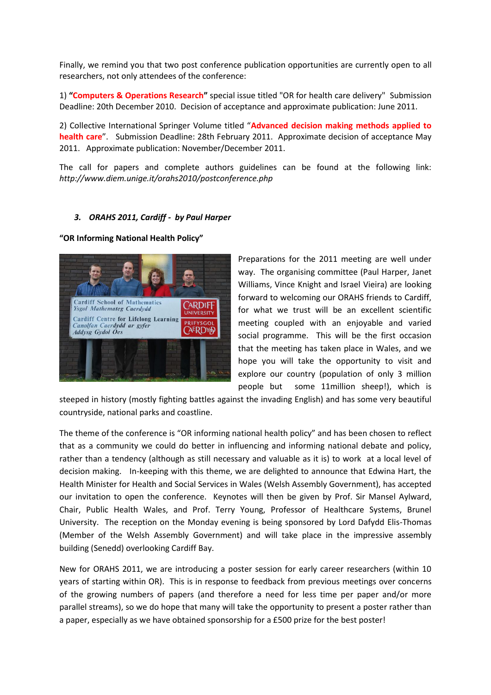Finally, we remind you that two post conference publication opportunities are currently open to all researchers, not only attendees of the conference:

1) **"Computers & Operations Research"** special issue titled "OR for health care delivery" Submission Deadline: 20th December 2010. Decision of acceptance and approximate publication: June 2011.

2) Collective International Springer Volume titled "**Advanced decision making methods applied to health care**". Submission Deadline: 28th February 2011. Approximate decision of acceptance May 2011. Approximate publication: November/December 2011.

The call for papers and complete authors guidelines can be found at the following link: *http://www.diem.unige.it/orahs2010/postconference.php*

#### *3. ORAHS 2011, Cardiff - by Paul Harper*

#### **"OR Informing National Health Policy"**



Preparations for the 2011 meeting are well under way. The organising committee (Paul Harper, Janet Williams, Vince Knight and Israel Vieira) are looking forward to welcoming our ORAHS friends to Cardiff, for what we trust will be an excellent scientific meeting coupled with an enjoyable and varied social programme. This will be the first occasion that the meeting has taken place in Wales, and we hope you will take the opportunity to visit and explore our country (population of only 3 million people but some 11million sheep!), which is

steeped in history (mostly fighting battles against the invading English) and has some very beautiful countryside, national parks and coastline.

The theme of the conference is "OR informing national health policy" and has been chosen to reflect that as a community we could do better in influencing and informing national debate and policy, rather than a tendency (although as still necessary and valuable as it is) to work at a local level of decision making. In-keeping with this theme, we are delighted to announce that Edwina Hart, the Health Minister for Health and Social Services in Wales (Welsh Assembly Government), has accepted our invitation to open the conference. Keynotes will then be given by Prof. Sir Mansel Aylward, Chair, Public Health Wales, and Prof. Terry Young, Professor of Healthcare Systems, Brunel University. The reception on the Monday evening is being sponsored by Lord Dafydd Elis-Thomas (Member of the Welsh Assembly Government) and will take place in the impressive assembly building (Senedd) overlooking Cardiff Bay.

New for ORAHS 2011, we are introducing a poster session for early career researchers (within 10 years of starting within OR). This is in response to feedback from previous meetings over concerns of the growing numbers of papers (and therefore a need for less time per paper and/or more parallel streams), so we do hope that many will take the opportunity to present a poster rather than a paper, especially as we have obtained sponsorship for a £500 prize for the best poster!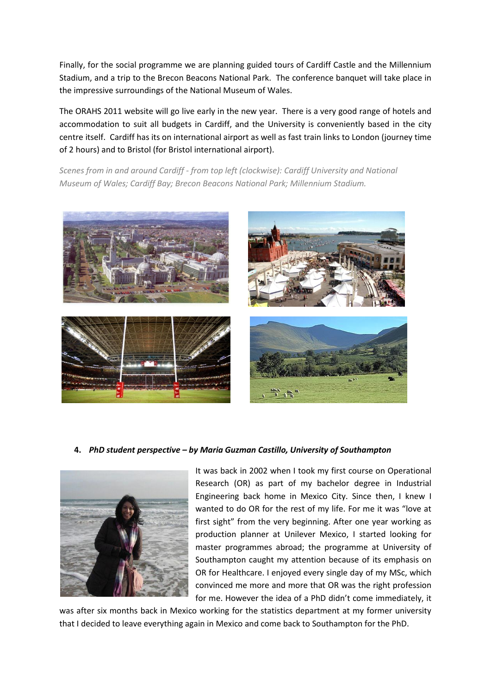Finally, for the social programme we are planning guided tours of Cardiff Castle and the Millennium Stadium, and a trip to the Brecon Beacons National Park. The conference banquet will take place in the impressive surroundings of the National Museum of Wales.

The ORAHS 2011 website will go live early in the new year. There is a very good range of hotels and accommodation to suit all budgets in Cardiff, and the University is conveniently based in the city centre itself. Cardiff has its on international airport as well as fast train links to London (journey time of 2 hours) and to Bristol (for Bristol international airport).

*Scenes from in and around Cardiff - from top left (clockwise): Cardiff University and National Museum of Wales; Cardiff Bay; Brecon Beacons National Park; Millennium Stadium.*



## **4.** *PhD student perspective – by Maria Guzman Castillo, University of Southampton*



It was back in 2002 when I took my first course on Operational Research (OR) as part of my bachelor degree in Industrial Engineering back home in Mexico City. Since then, I knew I wanted to do OR for the rest of my life. For me it was "love at first sight" from the very beginning. After one year working as production planner at Unilever Mexico, I started looking for master programmes abroad; the programme at University of Southampton caught my attention because of its emphasis on OR for Healthcare. I enjoyed every single day of my MSc, which convinced me more and more that OR was the right profession for me. However the idea of a PhD didn't come immediately, it

was after six months back in Mexico working for the statistics department at my former university that I decided to leave everything again in Mexico and come back to Southampton for the PhD.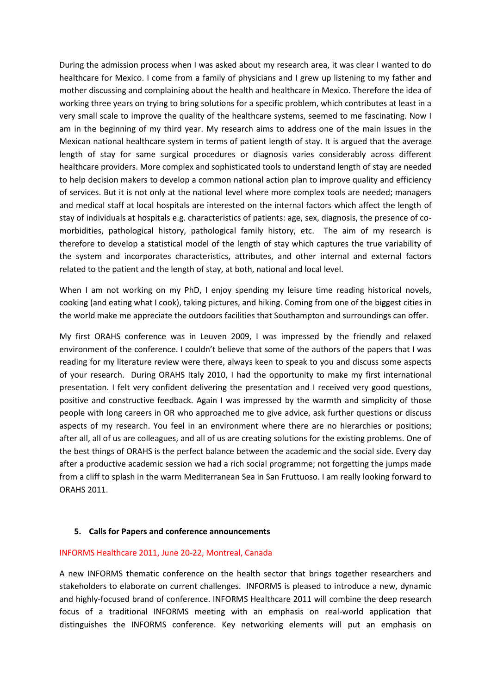During the admission process when I was asked about my research area, it was clear I wanted to do healthcare for Mexico. I come from a family of physicians and I grew up listening to my father and mother discussing and complaining about the health and healthcare in Mexico. Therefore the idea of working three years on trying to bring solutions for a specific problem, which contributes at least in a very small scale to improve the quality of the healthcare systems, seemed to me fascinating. Now I am in the beginning of my third year. My research aims to address one of the main issues in the Mexican national healthcare system in terms of patient length of stay. It is argued that the average length of stay for same surgical procedures or diagnosis varies considerably across different healthcare providers. More complex and sophisticated tools to understand length of stay are needed to help decision makers to develop a common national action plan to improve quality and efficiency of services. But it is not only at the national level where more complex tools are needed; managers and medical staff at local hospitals are interested on the internal factors which affect the length of stay of individuals at hospitals e.g. characteristics of patients: age, sex, diagnosis, the presence of comorbidities, pathological history, pathological family history, etc. The aim of my research is therefore to develop a statistical model of the length of stay which captures the true variability of the system and incorporates characteristics, attributes, and other internal and external factors related to the patient and the length of stay, at both, national and local level.

When I am not working on my PhD, I enjoy spending my leisure time reading historical novels, cooking (and eating what I cook), taking pictures, and hiking. Coming from one of the biggest cities in the world make me appreciate the outdoors facilities that Southampton and surroundings can offer.

My first ORAHS conference was in Leuven 2009, I was impressed by the friendly and relaxed environment of the conference. I couldn't believe that some of the authors of the papers that I was reading for my literature review were there, always keen to speak to you and discuss some aspects of your research. During ORAHS Italy 2010, I had the opportunity to make my first international presentation. I felt very confident delivering the presentation and I received very good questions, positive and constructive feedback. Again I was impressed by the warmth and simplicity of those people with long careers in OR who approached me to give advice, ask further questions or discuss aspects of my research. You feel in an environment where there are no hierarchies or positions; after all, all of us are colleagues, and all of us are creating solutions for the existing problems. One of the best things of ORAHS is the perfect balance between the academic and the social side. Every day after a productive academic session we had a rich social programme; not forgetting the jumps made from a cliff to splash in the warm Mediterranean Sea in San Fruttuoso. I am really looking forward to ORAHS 2011.

#### **5. Calls for Papers and conference announcements**

#### INFORMS Healthcare 2011, June 20-22, Montreal, Canada

A new INFORMS thematic conference on the health sector that brings together researchers and stakeholders to elaborate on current challenges. INFORMS is pleased to introduce a new, dynamic and highly-focused brand of conference. INFORMS Healthcare 2011 will combine the deep research focus of a traditional INFORMS meeting with an emphasis on real-world application that distinguishes the INFORMS conference. Key networking elements will put an emphasis on